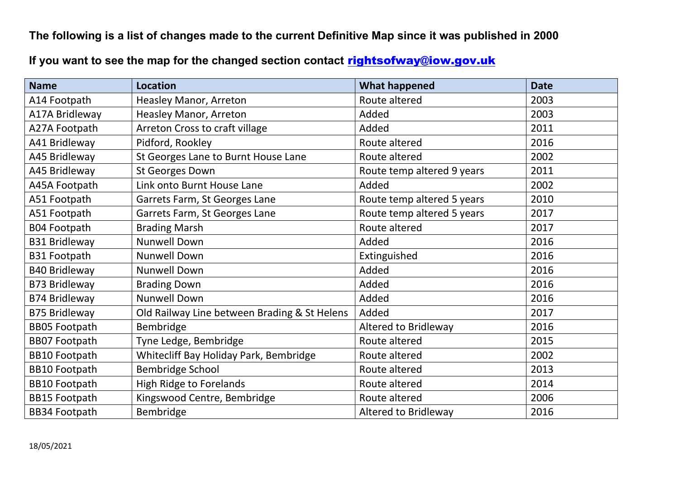## **The following is a list of changes made to the current Definitive Map since it was published in 2000**

## **If you want to see the map for the changed section contact** [rightsofway@iow.gov.uk](mailto:rightsofway@iow.gov.uk)

| <b>Name</b>          | <b>Location</b>                              | <b>What happened</b>        | <b>Date</b> |
|----------------------|----------------------------------------------|-----------------------------|-------------|
| A14 Footpath         | Heasley Manor, Arreton                       | Route altered               | 2003        |
| A17A Bridleway       | <b>Heasley Manor, Arreton</b>                | Added                       | 2003        |
| A27A Footpath        | Arreton Cross to craft village               | Added                       | 2011        |
| A41 Bridleway        | Pidford, Rookley                             | Route altered               | 2016        |
| A45 Bridleway        | St Georges Lane to Burnt House Lane          | Route altered               | 2002        |
| A45 Bridleway        | <b>St Georges Down</b>                       | Route temp altered 9 years  | 2011        |
| A45A Footpath        | Link onto Burnt House Lane                   | Added                       | 2002        |
| A51 Footpath         | Garrets Farm, St Georges Lane                | Route temp altered 5 years  | 2010        |
| A51 Footpath         | Garrets Farm, St Georges Lane                | Route temp altered 5 years  | 2017        |
| <b>B04 Footpath</b>  | <b>Brading Marsh</b>                         | Route altered               | 2017        |
| <b>B31 Bridleway</b> | <b>Nunwell Down</b>                          | Added                       | 2016        |
| <b>B31 Footpath</b>  | <b>Nunwell Down</b>                          | Extinguished                | 2016        |
| <b>B40 Bridleway</b> | <b>Nunwell Down</b>                          | Added                       | 2016        |
| <b>B73 Bridleway</b> | <b>Brading Down</b>                          | Added                       | 2016        |
| <b>B74 Bridleway</b> | <b>Nunwell Down</b>                          | Added                       | 2016        |
| <b>B75 Bridleway</b> | Old Railway Line between Brading & St Helens | Added                       | 2017        |
| <b>BB05 Footpath</b> | Bembridge                                    | <b>Altered to Bridleway</b> | 2016        |
| <b>BB07 Footpath</b> | Tyne Ledge, Bembridge                        | Route altered               | 2015        |
| <b>BB10 Footpath</b> | Whitecliff Bay Holiday Park, Bembridge       | Route altered               | 2002        |
| <b>BB10 Footpath</b> | Bembridge School                             | Route altered               | 2013        |
| <b>BB10 Footpath</b> | <b>High Ridge to Forelands</b>               | Route altered               | 2014        |
| <b>BB15 Footpath</b> | Kingswood Centre, Bembridge                  | Route altered               | 2006        |
| <b>BB34 Footpath</b> | Bembridge                                    | Altered to Bridleway        | 2016        |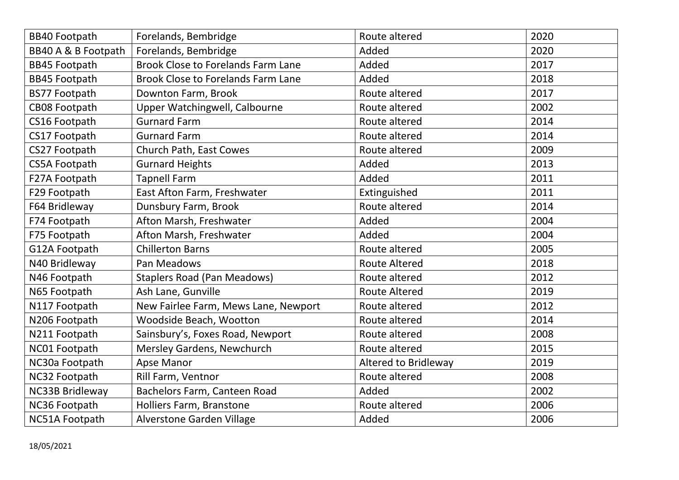| <b>BB40 Footpath</b>   | Forelands, Bembridge                      | Route altered               | 2020 |
|------------------------|-------------------------------------------|-----------------------------|------|
| BB40 A & B Footpath    | Forelands, Bembridge                      | Added                       | 2020 |
| <b>BB45 Footpath</b>   | <b>Brook Close to Forelands Farm Lane</b> | Added                       | 2017 |
| <b>BB45 Footpath</b>   | <b>Brook Close to Forelands Farm Lane</b> | Added                       | 2018 |
| <b>BS77 Footpath</b>   | Downton Farm, Brook                       | Route altered               | 2017 |
| CB08 Footpath          | Upper Watchingwell, Calbourne             | Route altered               | 2002 |
| CS16 Footpath          | <b>Gurnard Farm</b>                       | Route altered               | 2014 |
| CS17 Footpath          | <b>Gurnard Farm</b>                       | Route altered               | 2014 |
| CS27 Footpath          | Church Path, East Cowes                   | Route altered               | 2009 |
| <b>CS5A Footpath</b>   | <b>Gurnard Heights</b>                    | Added                       | 2013 |
| F27A Footpath          | <b>Tapnell Farm</b>                       | Added                       | 2011 |
| F29 Footpath           | East Afton Farm, Freshwater               | Extinguished                | 2011 |
| F64 Bridleway          | Dunsbury Farm, Brook                      | Route altered               | 2014 |
| F74 Footpath           | Afton Marsh, Freshwater                   | Added                       | 2004 |
| F75 Footpath           | Afton Marsh, Freshwater                   | Added                       | 2004 |
| G12A Footpath          | <b>Chillerton Barns</b>                   | Route altered               | 2005 |
| N40 Bridleway          | Pan Meadows                               | <b>Route Altered</b>        | 2018 |
| N46 Footpath           | <b>Staplers Road (Pan Meadows)</b>        | Route altered               | 2012 |
| N65 Footpath           | Ash Lane, Gunville                        | <b>Route Altered</b>        | 2019 |
| N117 Footpath          | New Fairlee Farm, Mews Lane, Newport      | Route altered               | 2012 |
| N206 Footpath          | Woodside Beach, Wootton                   | Route altered               | 2014 |
| N211 Footpath          | Sainsbury's, Foxes Road, Newport          | Route altered               | 2008 |
| NC01 Footpath          | Mersley Gardens, Newchurch                | Route altered               | 2015 |
| NC30a Footpath         | Apse Manor                                | <b>Altered to Bridleway</b> | 2019 |
| NC32 Footpath          | Rill Farm, Ventnor                        | Route altered               | 2008 |
| <b>NC33B Bridleway</b> | Bachelors Farm, Canteen Road              | Added                       | 2002 |
| NC36 Footpath          | Holliers Farm, Branstone                  | Route altered               | 2006 |
| NC51A Footpath         | Alverstone Garden Village                 | Added                       | 2006 |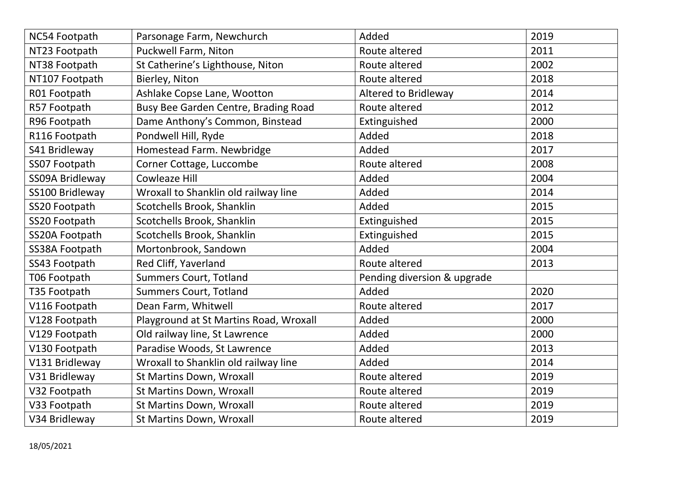| NC54 Footpath   | Parsonage Farm, Newchurch              | Added                       | 2019 |
|-----------------|----------------------------------------|-----------------------------|------|
| NT23 Footpath   | <b>Puckwell Farm, Niton</b>            | Route altered               | 2011 |
| NT38 Footpath   | St Catherine's Lighthouse, Niton       | Route altered               | 2002 |
| NT107 Footpath  | Bierley, Niton                         | Route altered               | 2018 |
| R01 Footpath    | Ashlake Copse Lane, Wootton            | <b>Altered to Bridleway</b> | 2014 |
| R57 Footpath    | Busy Bee Garden Centre, Brading Road   | Route altered               | 2012 |
| R96 Footpath    | Dame Anthony's Common, Binstead        | Extinguished                | 2000 |
| R116 Footpath   | Pondwell Hill, Ryde                    | Added                       | 2018 |
| S41 Bridleway   | Homestead Farm. Newbridge              | Added                       | 2017 |
| SS07 Footpath   | Corner Cottage, Luccombe               | Route altered               | 2008 |
| SS09A Bridleway | Cowleaze Hill                          | Added                       | 2004 |
| SS100 Bridleway | Wroxall to Shanklin old railway line   | Added                       | 2014 |
| SS20 Footpath   | Scotchells Brook, Shanklin             | Added                       | 2015 |
| SS20 Footpath   | Scotchells Brook, Shanklin             | Extinguished                | 2015 |
| SS20A Footpath  | Scotchells Brook, Shanklin             | Extinguished                | 2015 |
| SS38A Footpath  | Mortonbrook, Sandown                   | Added                       | 2004 |
| SS43 Footpath   | Red Cliff, Yaverland                   | Route altered               | 2013 |
| T06 Footpath    | <b>Summers Court, Totland</b>          | Pending diversion & upgrade |      |
| T35 Footpath    | <b>Summers Court, Totland</b>          | Added                       | 2020 |
| V116 Footpath   | Dean Farm, Whitwell                    | Route altered               | 2017 |
| V128 Footpath   | Playground at St Martins Road, Wroxall | Added                       | 2000 |
| V129 Footpath   | Old railway line, St Lawrence          | Added                       | 2000 |
| V130 Footpath   | Paradise Woods, St Lawrence            | Added                       | 2013 |
| V131 Bridleway  | Wroxall to Shanklin old railway line   | Added                       | 2014 |
| V31 Bridleway   | <b>St Martins Down, Wroxall</b>        | Route altered               | 2019 |
| V32 Footpath    | <b>St Martins Down, Wroxall</b>        | Route altered               | 2019 |
| V33 Footpath    | St Martins Down, Wroxall               | Route altered               | 2019 |
| V34 Bridleway   | <b>St Martins Down, Wroxall</b>        | Route altered               | 2019 |